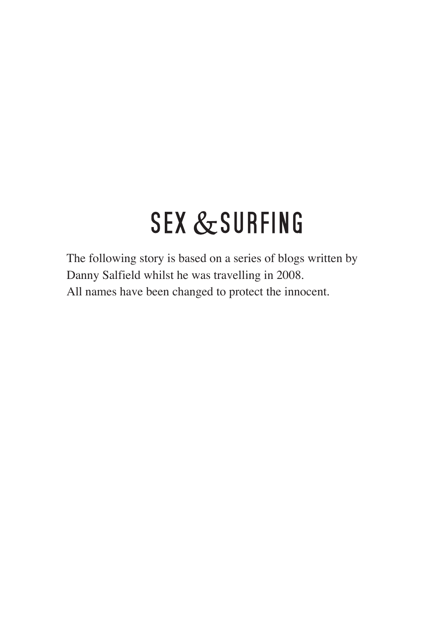## **SEX & SURFING**

The following story is based on a series of blogs written by Danny Salfield whilst he was travelling in 2008. All names have been changed to protect the innocent.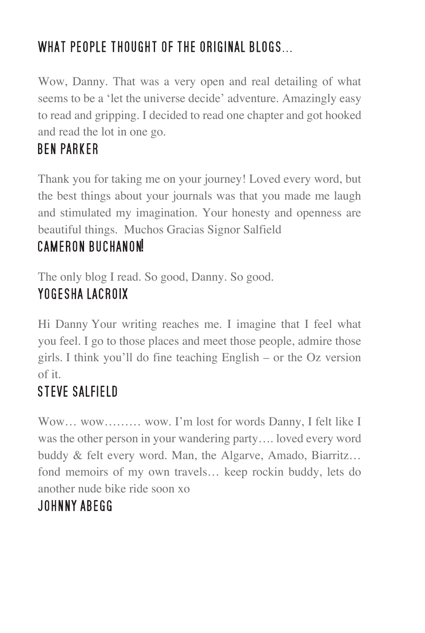#### WHAT PEOPLE THOUGHT OF THE ORIGINAL BLOGS...

Wow, Danny. That was a very open and real detailing of what seems to be a 'let the universe decide' adventure. Amazingly easy to read and gripping. I decided to read one chapter and got hooked and read the lot in one go.

#### **BEN PARKER**

Thank you for taking me on your journey! Loved every word, but the best things about your journals was that you made me laugh and stimulated my imagination. Your honesty and openness are beautiful things. Muchos Gracias Signor Salfield

#### CAMERON BUCHANON!

The only blog I read. So good, Danny. So good. YOGESHA LACROIX

Hi Danny Your writing reaches me. I imagine that I feel what you feel. I go to those places and meet those people, admire those girls. I think you'll do fine teaching English – or the Oz version of it.

## **STEVE SALFIELD**

Wow… wow……… wow. I'm lost for words Danny, I felt like I was the other person in your wandering party…. loved every word buddy & felt every word. Man, the Algarve, Amado, Biarritz… fond memoirs of my own travels… keep rockin buddy, lets do another nude bike ride soon xo

#### JOHNNY ABEGG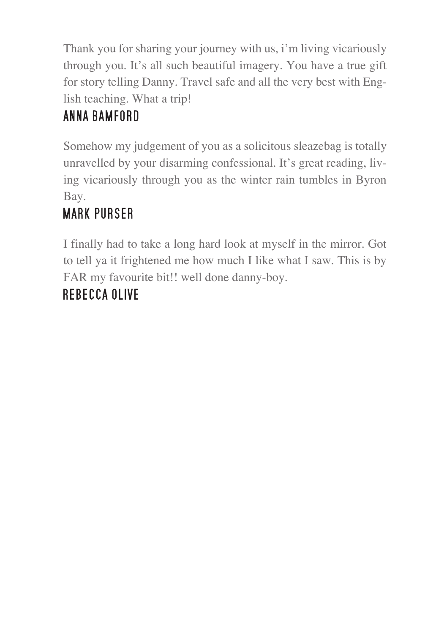Thank you for sharing your journey with us, i'm living vicariously through you. It's all such beautiful imagery. You have a true gift for story telling Danny. Travel safe and all the very best with English teaching. What a trip!

## ANNA BAMFORD

Somehow my judgement of you as a solicitous sleazebag is totally unravelled by your disarming confessional. It's great reading, living vicariously through you as the winter rain tumbles in Byron Bay.

## **MARK PURSER**

I finally had to take a long hard look at myself in the mirror. Got to tell ya it frightened me how much I like what I saw. This is by FAR my favourite bit!! well done danny-boy.

## **REBECCA OLIVE**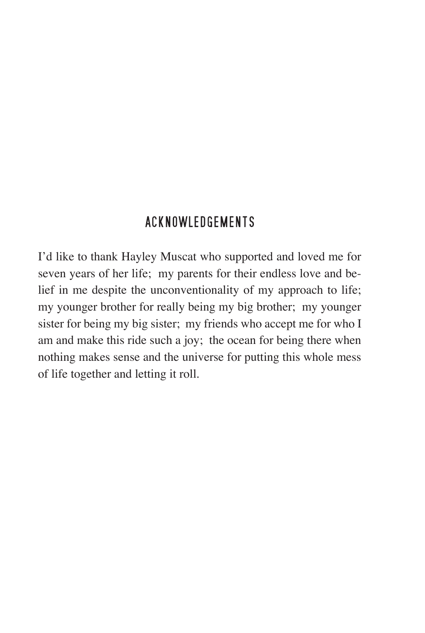#### ACKNOWLEDGEMENTS

I'd like to thank Hayley Muscat who supported and loved me for seven years of her life; my parents for their endless love and belief in me despite the unconventionality of my approach to life; my younger brother for really being my big brother; my younger sister for being my big sister; my friends who accept me for who I am and make this ride such a joy; the ocean for being there when nothing makes sense and the universe for putting this whole mess of life together and letting it roll.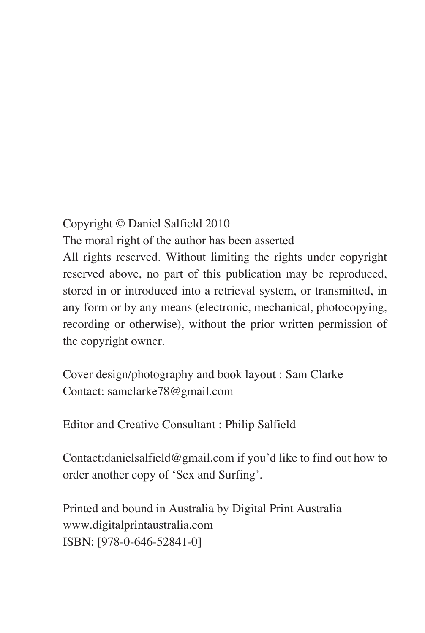#### Copyright © Daniel Salfield 2010

The moral right of the author has been asserted All rights reserved. Without limiting the rights under copyright reserved above, no part of this publication may be reproduced, stored in or introduced into a retrieval system, or transmitted, in any form or by any means (electronic, mechanical, photocopying, recording or otherwise), without the prior written permission of the copyright owner.

Cover design/photography and book layout : Sam Clarke Contact: samclarke78@gmail.com

Editor and Creative Consultant : Philip Salfield

Contact:danielsalfield@gmail.com if you'd like to find out how to order another copy of 'Sex and Surfing'.

Printed and bound in Australia by Digital Print Australia www.digitalprintaustralia.com ISBN: [978-0-646-52841-0]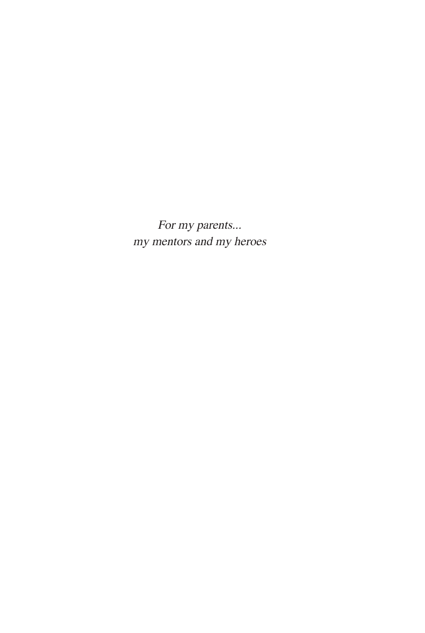For my parents... my mentors and my heroes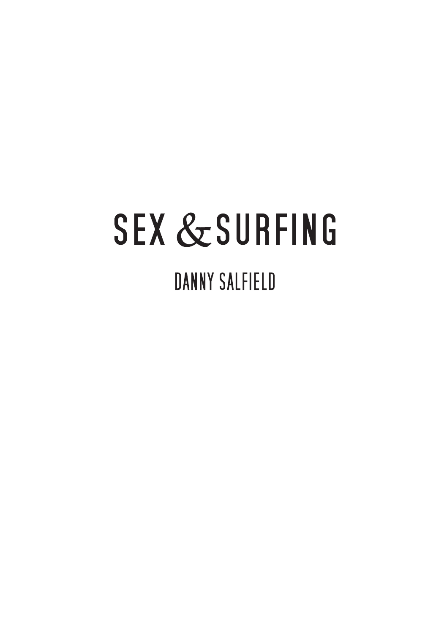# **SEX & SURFING DANNY SALFIELD**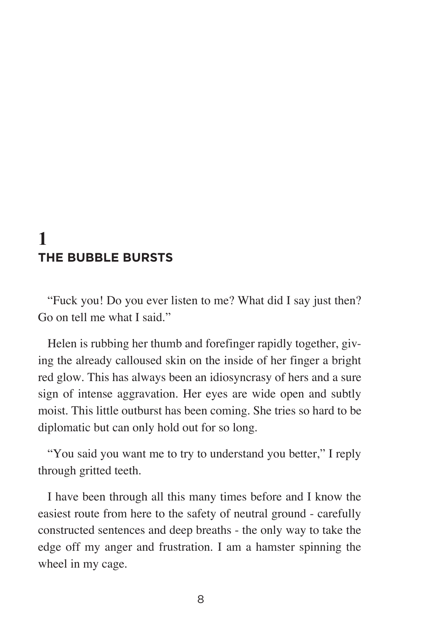#### **1 THE BUBBLE BURSTS**

"Fuck you! Do you ever listen to me? What did I say just then? Go on tell me what I said."

Helen is rubbing her thumb and forefinger rapidly together, giving the already calloused skin on the inside of her finger a bright red glow. This has always been an idiosyncrasy of hers and a sure sign of intense aggravation. Her eyes are wide open and subtly moist. This little outburst has been coming. She tries so hard to be diplomatic but can only hold out for so long.

"You said you want me to try to understand you better," I reply through gritted teeth.

I have been through all this many times before and I know the easiest route from here to the safety of neutral ground - carefully constructed sentences and deep breaths - the only way to take the edge off my anger and frustration. I am a hamster spinning the wheel in my cage.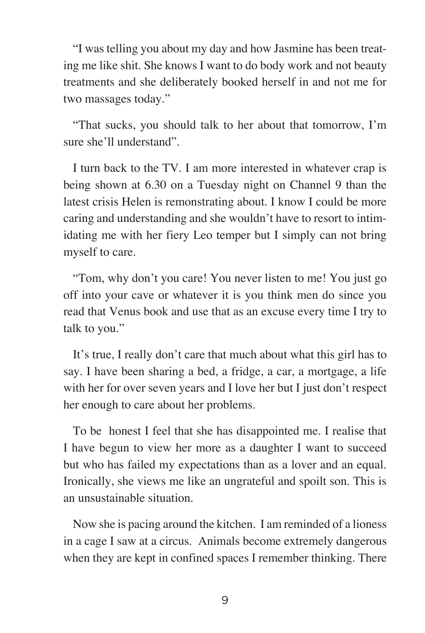"I was telling you about my day and how Jasmine has been treating me like shit. She knows I want to do body work and not beauty treatments and she deliberately booked herself in and not me for two massages today."

"That sucks, you should talk to her about that tomorrow, I'm sure she'll understand".

I turn back to the TV. I am more interested in whatever crap is being shown at 6.30 on a Tuesday night on Channel 9 than the latest crisis Helen is remonstrating about. I know I could be more caring and understanding and she wouldn't have to resort to intimidating me with her fiery Leo temper but I simply can not bring myself to care.

"Tom, why don't you care! You never listen to me! You just go off into your cave or whatever it is you think men do since you read that Venus book and use that as an excuse every time I try to talk to you."

It's true, I really don't care that much about what this girl has to say. I have been sharing a bed, a fridge, a car, a mortgage, a life with her for over seven years and I love her but I just don't respect her enough to care about her problems.

To be honest I feel that she has disappointed me. I realise that I have begun to view her more as a daughter I want to succeed but who has failed my expectations than as a lover and an equal. Ironically, she views me like an ungrateful and spoilt son. This is an unsustainable situation.

Now she is pacing around the kitchen. I am reminded of a lioness in a cage I saw at a circus. Animals become extremely dangerous when they are kept in confined spaces I remember thinking. There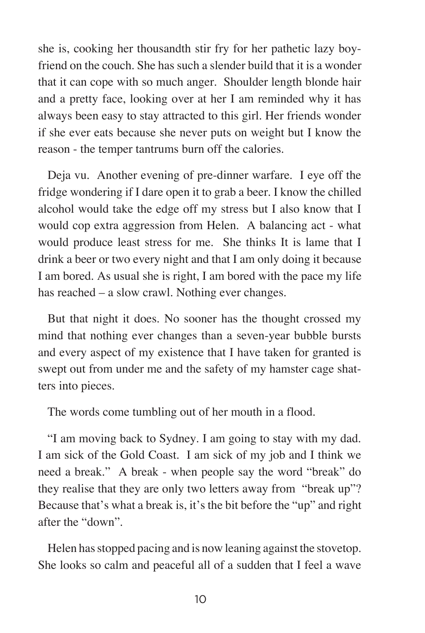she is, cooking her thousandth stir fry for her pathetic lazy boyfriend on the couch. She has such a slender build that it is a wonder that it can cope with so much anger. Shoulder length blonde hair and a pretty face, looking over at her I am reminded why it has always been easy to stay attracted to this girl. Her friends wonder if she ever eats because she never puts on weight but I know the reason - the temper tantrums burn off the calories.

Deja vu. Another evening of pre-dinner warfare. I eye off the fridge wondering if I dare open it to grab a beer. I know the chilled alcohol would take the edge off my stress but I also know that I would cop extra aggression from Helen. A balancing act - what would produce least stress for me. She thinks It is lame that I drink a beer or two every night and that I am only doing it because I am bored. As usual she is right, I am bored with the pace my life has reached – a slow crawl. Nothing ever changes.

But that night it does. No sooner has the thought crossed my mind that nothing ever changes than a seven-year bubble bursts and every aspect of my existence that I have taken for granted is swept out from under me and the safety of my hamster cage shatters into pieces.

The words come tumbling out of her mouth in a flood.

"I am moving back to Sydney. I am going to stay with my dad. I am sick of the Gold Coast. I am sick of my job and I think we need a break." A break - when people say the word "break" do they realise that they are only two letters away from "break up"? Because that's what a break is, it's the bit before the "up" and right after the "down".

Helen has stopped pacing and is now leaning against the stovetop. She looks so calm and peaceful all of a sudden that I feel a wave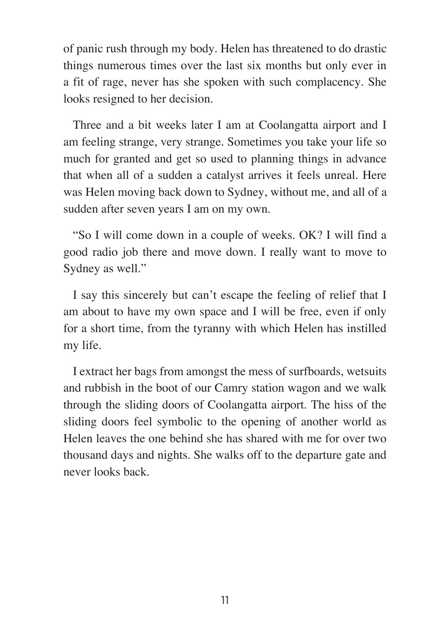of panic rush through my body. Helen has threatened to do drastic things numerous times over the last six months but only ever in a fit of rage, never has she spoken with such complacency. She looks resigned to her decision.

Three and a bit weeks later I am at Coolangatta airport and I am feeling strange, very strange. Sometimes you take your life so much for granted and get so used to planning things in advance that when all of a sudden a catalyst arrives it feels unreal. Here was Helen moving back down to Sydney, without me, and all of a sudden after seven years I am on my own.

"So I will come down in a couple of weeks. OK? I will find a good radio job there and move down. I really want to move to Sydney as well."

I say this sincerely but can't escape the feeling of relief that I am about to have my own space and I will be free, even if only for a short time, from the tyranny with which Helen has instilled my life.

I extract her bags from amongst the mess of surfboards, wetsuits and rubbish in the boot of our Camry station wagon and we walk through the sliding doors of Coolangatta airport. The hiss of the sliding doors feel symbolic to the opening of another world as Helen leaves the one behind she has shared with me for over two thousand days and nights. She walks off to the departure gate and never looks back.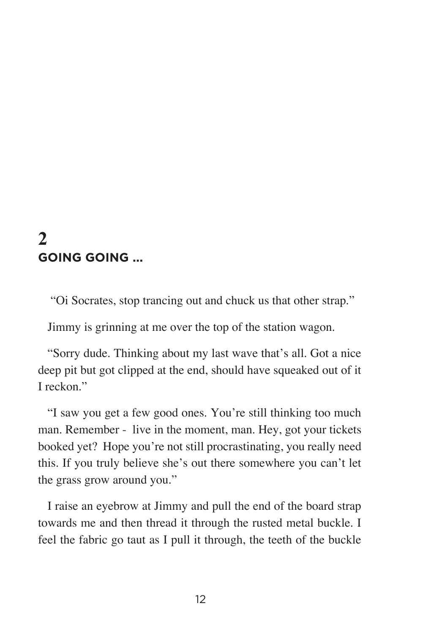#### **2 GOING GOING ...**

"Oi Socrates, stop trancing out and chuck us that other strap."

Jimmy is grinning at me over the top of the station wagon.

"Sorry dude. Thinking about my last wave that's all. Got a nice deep pit but got clipped at the end, should have squeaked out of it I reckon."

"I saw you get a few good ones. You're still thinking too much man. Remember - live in the moment, man. Hey, got your tickets booked yet? Hope you're not still procrastinating, you really need this. If you truly believe she's out there somewhere you can't let the grass grow around you."

I raise an eyebrow at Jimmy and pull the end of the board strap towards me and then thread it through the rusted metal buckle. I feel the fabric go taut as I pull it through, the teeth of the buckle